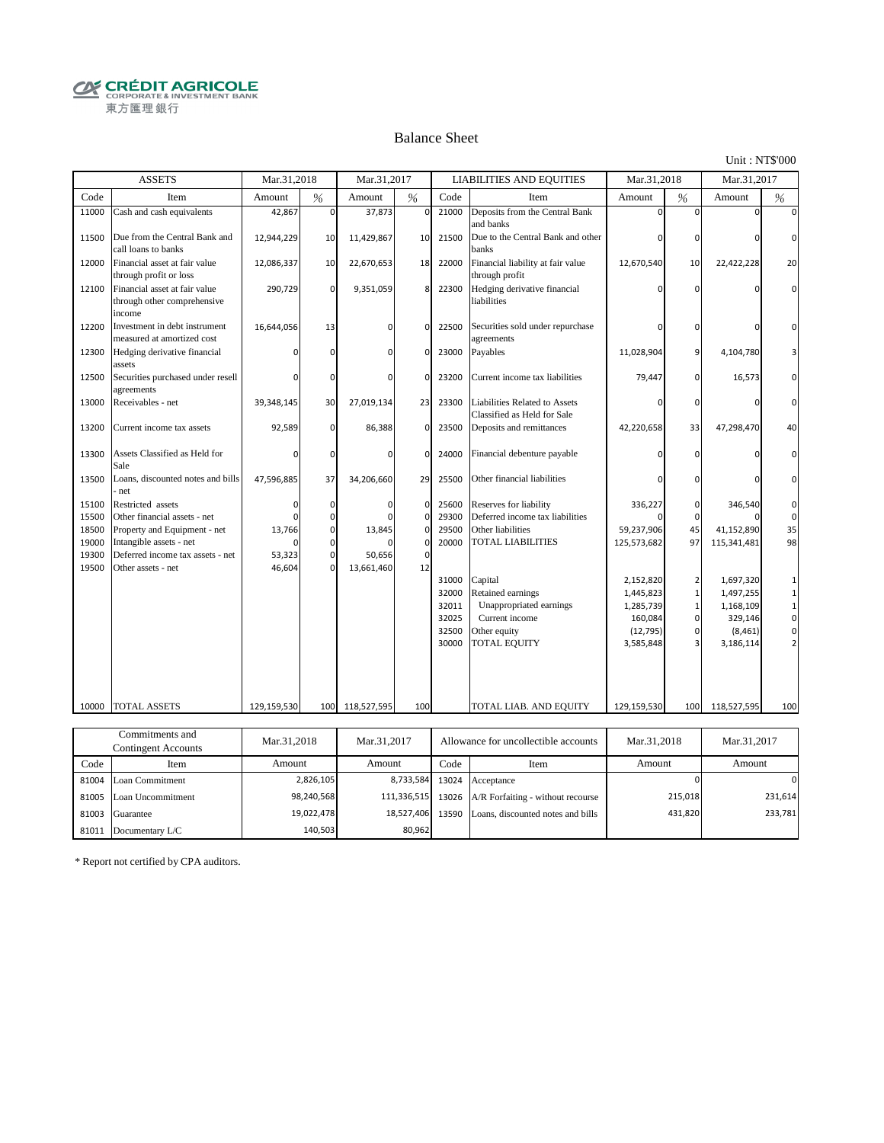**CRÉDIT AGRICOLE** 東方匯理銀行

#### Balance Sheet

Unit : NT\$'000

431,820

233,781

|       | <b>ASSETS</b>                                                          | Mar.31,2018 |             | Mar.31,2017 |                   |       | <b>LIABILITIES AND EQUITIES</b>                              | Mar.31,2018 |                | Mar.31,2017 |                |
|-------|------------------------------------------------------------------------|-------------|-------------|-------------|-------------------|-------|--------------------------------------------------------------|-------------|----------------|-------------|----------------|
| Code  | Item                                                                   | Amount      | %           | Amount      | $\%$              | Code  | Item                                                         | Amount      | $\%$           | Amount      | $\frac{0}{6}$  |
| 11000 | Cash and cash equivalents                                              | 42,867      | $\mathbf 0$ | 37,873      | $\pmb{0}$         | 21000 | Deposits from the Central Bank<br>and banks                  | $\Omega$    | $\Omega$       | $\Omega$    | $\Omega$       |
| 11500 | Due from the Central Bank and<br>call loans to banks                   | 12,944,229  | 10          | 11,429,867  | 10                | 21500 | Due to the Central Bank and other<br>banks                   | 0           | $\mathbf 0$    | $\Omega$    | $\Omega$       |
| 12000 | Financial asset at fair value<br>through profit or loss                | 12,086,337  | 10          | 22,670,653  | 18                | 22000 | Financial liability at fair value<br>through profit          | 12,670,540  | 10             | 22,422,228  | 20             |
| 12100 | Financial asset at fair value<br>through other comprehensive<br>income | 290,729     | $\mathbf 0$ | 9,351,059   | 8                 | 22300 | Hedging derivative financial<br>liabilities                  | $\mathbf 0$ | $\mathbf 0$    | $\Omega$    | $\Omega$       |
| 12200 | Investment in debt instrument<br>measured at amortized cost            | 16,644,056  | 13          | $\Omega$    | 0                 | 22500 | Securities sold under repurchase<br>agreements               | $\mathbf 0$ | $\Omega$       | $\Omega$    | n              |
| 12300 | Hedging derivative financial<br>assets                                 |             | $\mathbf 0$ | $\Omega$    | 0                 | 23000 | Payables                                                     | 11,028,904  | 9              | 4,104,780   |                |
| 12500 | Securities purchased under resell<br>agreements                        |             | $\mathbf 0$ | $\Omega$    | $\Omega$          | 23200 | Current income tax liabilities                               | 79,447      | $\mathbf 0$    | 16,573      | $\Omega$       |
| 13000 | Receivables - net                                                      | 39,348,145  | 30          | 27,019,134  | 23                | 23300 | Liabilities Related to Assets<br>Classified as Held for Sale | $\Omega$    | $\mathbf 0$    | $\Omega$    | $\Omega$       |
| 13200 | Current income tax assets                                              | 92,589      | $\mathbf 0$ | 86,388      | 0                 | 23500 | Deposits and remittances                                     | 42,220,658  | 33             | 47,298,470  | 40             |
| 13300 | Assets Classified as Held for<br>Sale                                  | O           | $\mathbf 0$ | $\Omega$    | $\mathbf 0$       | 24000 | Financial debenture payable                                  | $\Omega$    | $\mathbf 0$    | $\Omega$    | 0              |
| 13500 | Loans, discounted notes and bills<br>net                               | 47,596,885  | 37          | 34,206,660  | 29                | 25500 | Other financial liabilities                                  | 0           | $\Omega$       | $\Omega$    | $\Omega$       |
| 15100 | Restricted assets                                                      | 0           | 0           | $\Omega$    | 0                 | 25600 | Reserves for liability                                       | 336,227     | 0              | 346,540     | 0              |
| 15500 | Other financial assets - net                                           | n           | $\mathbf 0$ |             | $\mathbf 0$       | 29300 | Deferred income tax liabilities                              |             | $\Omega$       |             | $\mathbf 0$    |
| 18500 | Property and Equipment - net                                           | 13,766      | $\mathbf 0$ | 13,845      | 0                 | 29500 | Other liabilities                                            | 59,237,906  | 45             | 41,152,890  | 35             |
| 19000 | Intangible assets - net                                                |             | $\mathbf 0$ |             | 0                 | 20000 | TOTAL LIABILITIES                                            | 125,573,682 | 97             | 115,341,481 | 98             |
| 19300 | Deferred income tax assets - net                                       | 53,323      | $\mathbf 0$ | 50,656      | $\mathbf 0$       |       |                                                              |             |                |             |                |
| 19500 | Other assets - net                                                     | 46,604      | $\Omega$    | 13,661,460  | 12                |       |                                                              |             |                |             |                |
|       |                                                                        |             |             |             |                   | 31000 | Capital                                                      | 2,152,820   | $\overline{2}$ | 1,697,320   | 1              |
|       |                                                                        |             |             |             |                   | 32000 | Retained earnings                                            | 1,445,823   | $\mathbf 1$    | 1,497,255   | $\mathbf 1$    |
|       |                                                                        |             |             |             |                   | 32011 | Unappropriated earnings                                      | 1,285,739   | $\mathbf 1$    | 1,168,109   | $\mathbf 1$    |
|       |                                                                        |             |             |             |                   | 32025 | Current income                                               | 160,084     | $\mathbf 0$    | 329,146     | $\mathbf 0$    |
|       |                                                                        |             |             |             |                   | 32500 | Other equity                                                 | (12, 795)   | $\mathbf 0$    | (8, 461)    | $\mathbf 0$    |
|       |                                                                        |             |             |             |                   | 30000 | <b>TOTAL EQUITY</b>                                          | 3,585,848   | 3              | 3,186,114   | $\overline{2}$ |
|       |                                                                        |             |             |             |                   |       |                                                              |             |                |             |                |
| 10000 | <b>TOTAL ASSETS</b>                                                    | 129,159,530 | 100         | 118,527,595 | 100               |       | TOTAL LIAB. AND EQUITY                                       | 129,159,530 | 100            | 118,527,595 | 100            |
|       |                                                                        |             |             |             |                   |       |                                                              |             |                |             |                |
|       | Commitments and                                                        | Mar.31,2018 |             | Mar.31,2017 |                   |       | Allowance for uncollectible accounts                         | Mar.31,2018 |                | Mar.31,2017 |                |
|       | <b>Contingent Accounts</b>                                             |             |             |             |                   |       |                                                              |             |                |             |                |
| Code  | Item                                                                   | Amount      |             | Amount      |                   | Code  | Item                                                         | Amount      |                | Amount      |                |
| 81004 | Loan Commitment                                                        |             | 2,826,105   |             | 8,733,584         | 13024 | Acceptance                                                   |             | $\Omega$       |             | $\Omega$       |
|       | 81005 Loan Uncommitment                                                |             | 98,240,568  |             | 111,336,515 13026 |       | A/R Forfaiting - without recourse                            |             | 215,018        |             | 231,614        |

81003 Guarantee 19,022,478 18,527,406 13590 Loans, discounted notes and bills

18,527,406 80,962

19,022,478 140,503

\* Report not certified by CPA auditors.

81011 Documentary L/C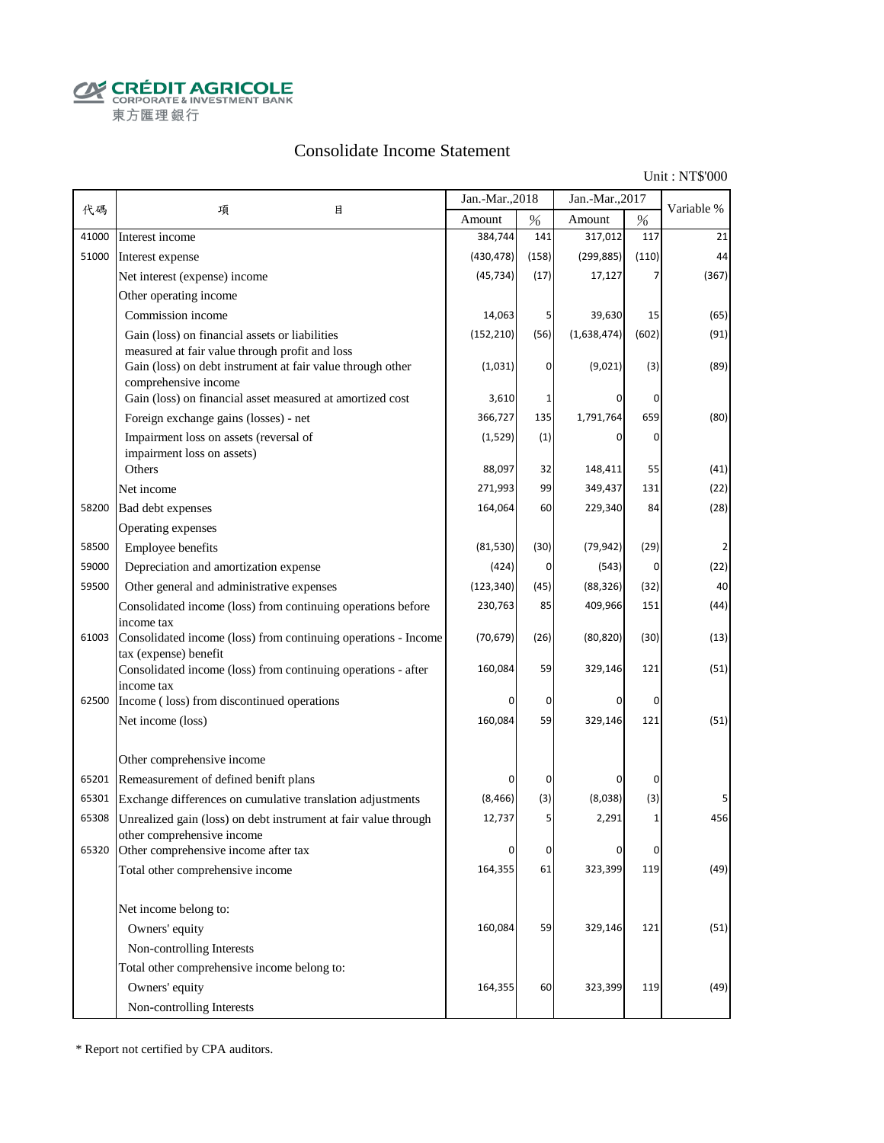**CALCOUT AGRICOLE**<br>
CORPORATE & INVESTMENT BANK<br>
東方匯理銀行

## Consolidate Income Statement

Unit : NT\$'000

|       |                                                                                         | Jan.-Mar., 2018 |       | Jan.-Mar., 2017 |       |            |
|-------|-----------------------------------------------------------------------------------------|-----------------|-------|-----------------|-------|------------|
| 代碼    | 項<br>目                                                                                  | Amount          | %     | Amount          | $\%$  | Variable % |
| 41000 | Interest income                                                                         | 384,744         | 141   | 317,012         | 117   | 21         |
| 51000 | Interest expense                                                                        | (430, 478)      | (158) | (299, 885)      | (110) | 44         |
|       | Net interest (expense) income                                                           | (45, 734)       | (17)  | 17,127          |       | (367)      |
|       | Other operating income                                                                  |                 |       |                 |       |            |
|       | Commission income                                                                       | 14,063          | 5     | 39,630          | 15    | (65)       |
|       | Gain (loss) on financial assets or liabilities                                          | (152, 210)      | (56)  | (1,638,474)     | (602) | (91)       |
|       | measured at fair value through profit and loss                                          |                 |       |                 |       |            |
|       | Gain (loss) on debt instrument at fair value through other<br>comprehensive income      | (1,031)         | 0     | (9,021)         | (3)   | (89)       |
|       | Gain (loss) on financial asset measured at amortized cost                               | 3,610           | 1     |                 | 0     |            |
|       | Foreign exchange gains (losses) - net                                                   | 366,727         | 135   | 1,791,764       | 659   | (80)       |
|       | Impairment loss on assets (reversal of                                                  | (1,529)         | (1)   | 0               | 0     |            |
|       | impairment loss on assets)                                                              |                 |       |                 |       |            |
|       | Others                                                                                  | 88,097          | 32    | 148,411         | 55    | (41)       |
|       | Net income                                                                              | 271,993         | 99    | 349,437         | 131   | (22)       |
| 58200 | Bad debt expenses                                                                       | 164,064         | 60    | 229,340         | 84    | (28)       |
|       | Operating expenses                                                                      |                 |       |                 |       |            |
| 58500 | Employee benefits                                                                       | (81,530)        | (30)  | (79, 942)       | (29)  |            |
| 59000 | Depreciation and amortization expense                                                   | (424)           | 0     | (543)           | 0     | (22)       |
| 59500 | Other general and administrative expenses                                               | (123, 340)      | (45)  | (88, 326)       | (32)  | 40         |
|       | Consolidated income (loss) from continuing operations before                            | 230,763         | 85    | 409,966         | 151   | (44)       |
|       | income tax                                                                              |                 |       |                 |       |            |
| 61003 | Consolidated income (loss) from continuing operations - Income<br>tax (expense) benefit | (70, 679)       | (26)  | (80, 820)       | (30)  | (13)       |
|       | Consolidated income (loss) from continuing operations - after                           | 160,084         | 59    | 329,146         | 121   | (51)       |
|       | income tax                                                                              |                 |       |                 |       |            |
| 62500 | Income (loss) from discontinued operations                                              |                 | 0     | 0               | 0     |            |
|       | Net income (loss)                                                                       | 160,084         | 59    | 329,146         | 121   | (51)       |
|       |                                                                                         |                 |       |                 |       |            |
|       | Other comprehensive income                                                              |                 |       |                 |       |            |
| 65201 | Remeasurement of defined benift plans                                                   |                 | 0     |                 | 0     |            |
| 65301 | Exchange differences on cumulative translation adjustments                              | (8, 466)        | (3)   | (8,038)         | (3)   | 5          |
| 65308 | Unrealized gain (loss) on debt instrument at fair value through                         | 12,737          | 5     | 2,291           | 1     | 456        |
| 65320 | other comprehensive income<br>Other comprehensive income after tax                      | 0               | 0     | 0               | 0     |            |
|       | Total other comprehensive income                                                        | 164,355         | 61    | 323,399         | 119   | (49)       |
|       |                                                                                         |                 |       |                 |       |            |
|       | Net income belong to:                                                                   |                 |       |                 |       |            |
|       | Owners' equity                                                                          | 160,084         | 59    | 329,146         | 121   | (51)       |
|       | Non-controlling Interests                                                               |                 |       |                 |       |            |
|       | Total other comprehensive income belong to:                                             |                 |       |                 |       |            |
|       | Owners' equity                                                                          | 164,355         | 60    | 323,399         | 119   | (49)       |
|       | Non-controlling Interests                                                               |                 |       |                 |       |            |
|       |                                                                                         |                 |       |                 |       |            |

\* Report not certified by CPA auditors.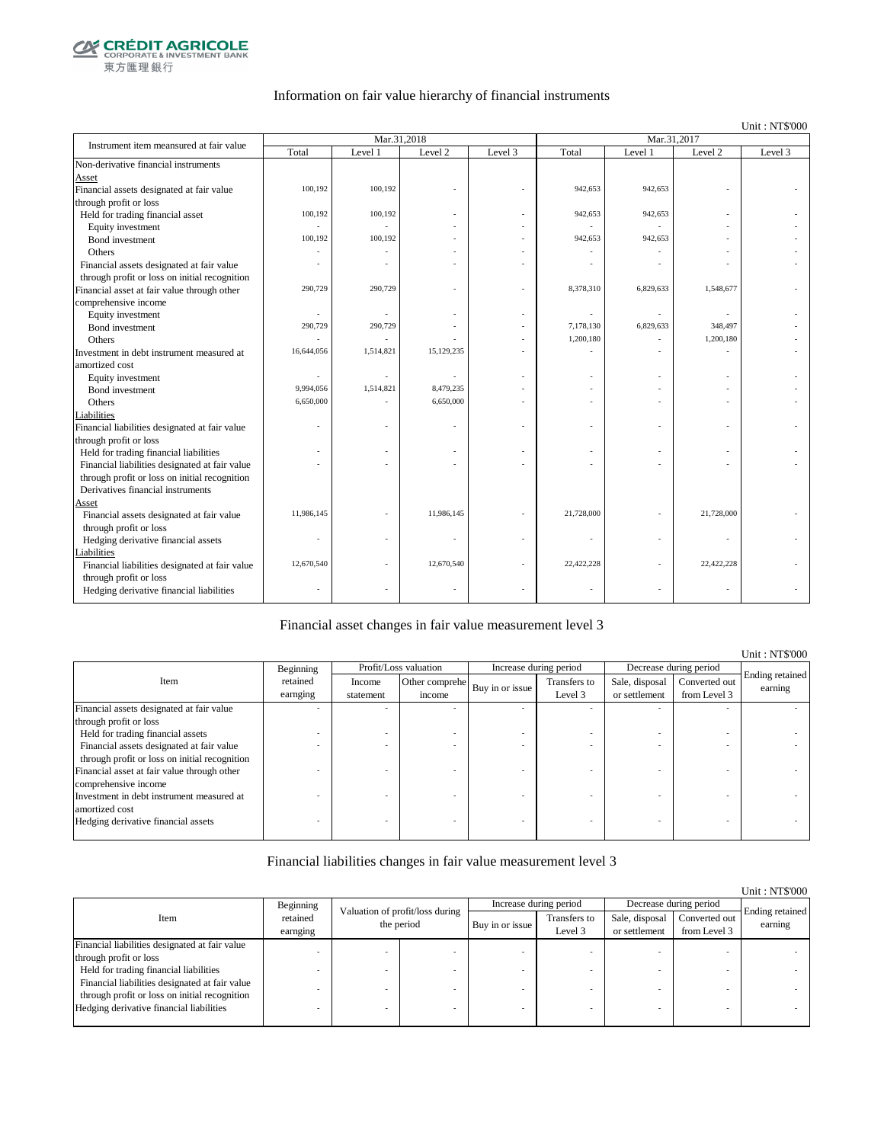

### Information on fair value hierarchy of financial instruments

Unit : NT\$'000

| Instrument item meansured at fair value        |            | Mar.31,2018 |            |         | Mar.31,2017 |           |                |         |  |
|------------------------------------------------|------------|-------------|------------|---------|-------------|-----------|----------------|---------|--|
|                                                | Total      | Level 1     | Level 2    | Level 3 | Total       | Level 1   | Level 2        | Level 3 |  |
| Non-derivative financial instruments           |            |             |            |         |             |           |                |         |  |
| Asset                                          |            |             |            |         |             |           |                |         |  |
| Financial assets designated at fair value      | 100,192    | 100,192     |            |         | 942,653     | 942,653   |                |         |  |
| through profit or loss                         |            |             |            |         |             |           |                |         |  |
| Held for trading financial asset               | 100,192    | 100,192     |            |         | 942,653     | 942,653   |                |         |  |
| Equity investment                              |            |             |            |         |             |           |                |         |  |
| Bond investment                                | 100,192    | 100,192     |            |         | 942,653     | 942,653   |                |         |  |
| Others                                         |            |             |            |         |             |           |                |         |  |
| Financial assets designated at fair value      |            |             |            |         |             |           |                |         |  |
| through profit or loss on initial recognition  |            |             |            |         |             |           |                |         |  |
| Financial asset at fair value through other    | 290,729    | 290,729     |            | ä,      | 8,378,310   | 6,829,633 | 1,548,677      |         |  |
| comprehensive income                           |            |             |            |         |             |           |                |         |  |
| Equity investment                              | ä,         |             |            |         |             |           | $\overline{a}$ |         |  |
| Bond investment                                | 290,729    | 290,729     |            |         | 7,178,130   | 6,829,633 | 348,497        |         |  |
| Others                                         |            |             |            |         | 1,200,180   |           | 1,200,180      |         |  |
| Investment in debt instrument measured at      | 16,644,056 | 1,514,821   | 15,129,235 |         |             |           |                |         |  |
| amortized cost                                 |            |             |            |         |             |           |                |         |  |
| Equity investment                              |            |             |            |         |             |           | ÷              |         |  |
| Bond investment                                | 9,994,056  | 1,514,821   | 8,479,235  |         |             |           |                |         |  |
| Others                                         | 6,650,000  |             | 6,650,000  |         |             |           |                |         |  |
| Liabilities                                    |            |             |            |         |             |           |                |         |  |
| Financial liabilities designated at fair value |            |             |            |         |             | ٠         |                |         |  |
| through profit or loss                         |            |             |            |         |             |           |                |         |  |
| Held for trading financial liabilities         |            |             |            |         |             | ٠         |                |         |  |
| Financial liabilities designated at fair value |            |             |            |         |             |           |                |         |  |
| through profit or loss on initial recognition  |            |             |            |         |             |           |                |         |  |
| Derivatives financial instruments              |            |             |            |         |             |           |                |         |  |
| Asset                                          |            |             |            |         |             |           |                |         |  |
| Financial assets designated at fair value      | 11,986,145 |             | 11,986,145 |         | 21,728,000  |           | 21,728,000     |         |  |
| through profit or loss                         |            |             |            |         |             |           |                |         |  |
| Hedging derivative financial assets            |            |             |            |         |             |           |                |         |  |
| Liabilities                                    | 12,670,540 |             | 12,670,540 |         | 22,422,228  |           | 22,422,228     |         |  |
| Financial liabilities designated at fair value |            |             |            |         |             |           |                |         |  |
| through profit or loss                         |            |             |            |         |             |           |                |         |  |
| Hedging derivative financial liabilities       |            |             |            |         |             |           |                |         |  |

#### Financial asset changes in fair value measurement level 3

|                                               |           |           |                       |                        |              |                |                        | Unit: NT\$'000             |
|-----------------------------------------------|-----------|-----------|-----------------------|------------------------|--------------|----------------|------------------------|----------------------------|
|                                               | Beginning |           | Profit/Loss valuation | Increase during period |              |                | Decrease during period |                            |
| Item                                          | retained  | Income    | Other comprehe        | Buy in or issue        | Transfers to | Sale, disposal | Converted out          | Ending retained<br>earning |
|                                               | earnging  | statement | income                |                        | Level 3      | or settlement  | from Level 3           |                            |
| Financial assets designated at fair value     |           |           |                       |                        |              |                |                        |                            |
| through profit or loss                        |           |           |                       |                        |              |                |                        |                            |
| Held for trading financial assets             |           |           |                       |                        |              |                |                        |                            |
| Financial assets designated at fair value     |           |           |                       |                        |              |                |                        |                            |
| through profit or loss on initial recognition |           |           |                       |                        |              |                |                        |                            |
| Financial asset at fair value through other   |           |           |                       |                        |              |                |                        |                            |
| comprehensive income                          |           |           |                       |                        |              |                |                        |                            |
| Investment in debt instrument measured at     |           |           |                       |                        |              |                |                        |                            |
| amortized cost                                |           |           |                       |                        |              |                |                        |                            |
| Hedging derivative financial assets           |           |           |                       |                        |              |                |                        |                            |
|                                               |           |           |                       |                        |              |                |                        |                            |

#### Financial liabilities changes in fair value measurement level 3

|                                                |                      |                                               |  |                 |                         |                                 |                               | Unit: NT\$'000             |
|------------------------------------------------|----------------------|-----------------------------------------------|--|-----------------|-------------------------|---------------------------------|-------------------------------|----------------------------|
|                                                | Beginning            |                                               |  |                 | Increase during period  | Decrease during period          |                               |                            |
| Item                                           | retained<br>earnging | Valuation of profit/loss during<br>the period |  | Buy in or issue | Transfers to<br>Level 3 | Sale, disposal<br>or settlement | Converted out<br>from Level 3 | Ending retained<br>earning |
| Financial liabilities designated at fair value |                      |                                               |  |                 |                         |                                 |                               |                            |
| through profit or loss                         |                      |                                               |  |                 |                         |                                 |                               |                            |
| Held for trading financial liabilities         |                      |                                               |  |                 |                         |                                 |                               |                            |
| Financial liabilities designated at fair value |                      |                                               |  |                 |                         |                                 |                               |                            |
| through profit or loss on initial recognition  |                      |                                               |  |                 |                         |                                 |                               |                            |
| Hedging derivative financial liabilities       |                      |                                               |  |                 |                         |                                 |                               |                            |
|                                                |                      |                                               |  |                 |                         |                                 |                               |                            |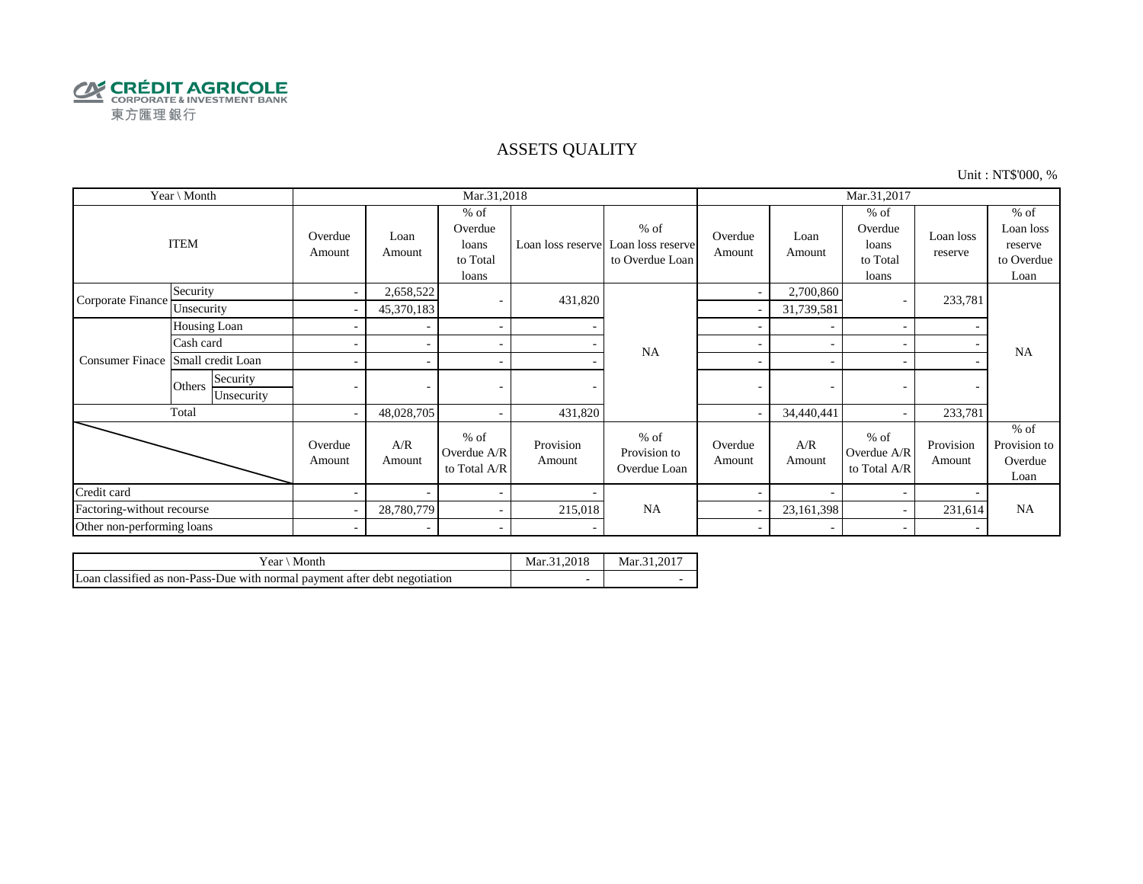

### ASSETS QUALITY

Unit : NT\$'000, %

| Year \ Month               |                                  |                          |                | Mar.31,2018                                     |                     |                                                                  | Mar.31,2017              |                |                                                 |                      |                                                      |
|----------------------------|----------------------------------|--------------------------|----------------|-------------------------------------------------|---------------------|------------------------------------------------------------------|--------------------------|----------------|-------------------------------------------------|----------------------|------------------------------------------------------|
|                            | <b>ITEM</b>                      | Overdue<br>Amount        | Loan<br>Amount | $%$ of<br>Overdue<br>loans<br>to Total<br>loans |                     | $%$ of<br>Loan loss reserve Loan loss reserve<br>to Overdue Loan | Overdue<br>Amount        | Loan<br>Amount | $%$ of<br>Overdue<br>loans<br>to Total<br>loans | Loan loss<br>reserve | $%$ of<br>Loan loss<br>reserve<br>to Overdue<br>Loan |
| Corporate Finance          | Security                         | $\overline{\phantom{a}}$ | 2,658,522      | $\overline{\phantom{a}}$                        | 431,820             |                                                                  | $\overline{\phantom{a}}$ | 2,700,860      |                                                 | 233,781              |                                                      |
|                            | Unsecurity                       | $\overline{\phantom{a}}$ | 45,370,183     |                                                 |                     |                                                                  |                          | 31,739,581     |                                                 |                      |                                                      |
|                            | Housing Loan                     |                          |                | $\overline{\phantom{a}}$                        |                     |                                                                  |                          |                |                                                 |                      |                                                      |
|                            | Cash card                        |                          |                | $\sim$                                          |                     | <b>NA</b>                                                        | ÷                        |                |                                                 |                      | <b>NA</b>                                            |
| <b>Consumer Finace</b>     | Small credit Loan                |                          |                | $\sim$                                          |                     |                                                                  | ۰                        |                |                                                 |                      |                                                      |
|                            | Security<br>Others<br>Unsecurity |                          |                |                                                 |                     |                                                                  | -                        | ٠              |                                                 |                      |                                                      |
|                            | Total                            | $\sim$                   | 48,028,705     | $\sim$                                          | 431,820             |                                                                  |                          | 34,440,441     |                                                 | 233,781              |                                                      |
|                            |                                  | Overdue<br>Amount        | A/R<br>Amount  | $%$ of<br>Overdue A/R<br>to Total A/R           | Provision<br>Amount | $%$ of<br>Provision to<br>Overdue Loan                           | Overdue<br>Amount        | A/R<br>Amount  | $%$ of<br>Overdue A/R<br>to Total A/R           | Provision<br>Amount  | $%$ of<br>Provision to<br>Overdue<br>Loan            |
| Credit card                |                                  |                          |                | $\overline{\phantom{a}}$                        |                     |                                                                  |                          |                |                                                 |                      |                                                      |
| Factoring-without recourse |                                  |                          | 28,780,779     | $\sim$                                          | 215,018             | <b>NA</b>                                                        |                          | 23,161,398     |                                                 | 231,614              | <b>NA</b>                                            |
| Other non-performing loans |                                  | $\sim$                   |                | $\sim$                                          |                     |                                                                  | $\sim$                   |                |                                                 |                      |                                                      |

| Year \<br>Month                                                            | Mar.31.2018              | Mar.31.2017 |
|----------------------------------------------------------------------------|--------------------------|-------------|
| Loan classified as non-Pass-Due with normal payment after debt negotiation | $\overline{\phantom{a}}$ |             |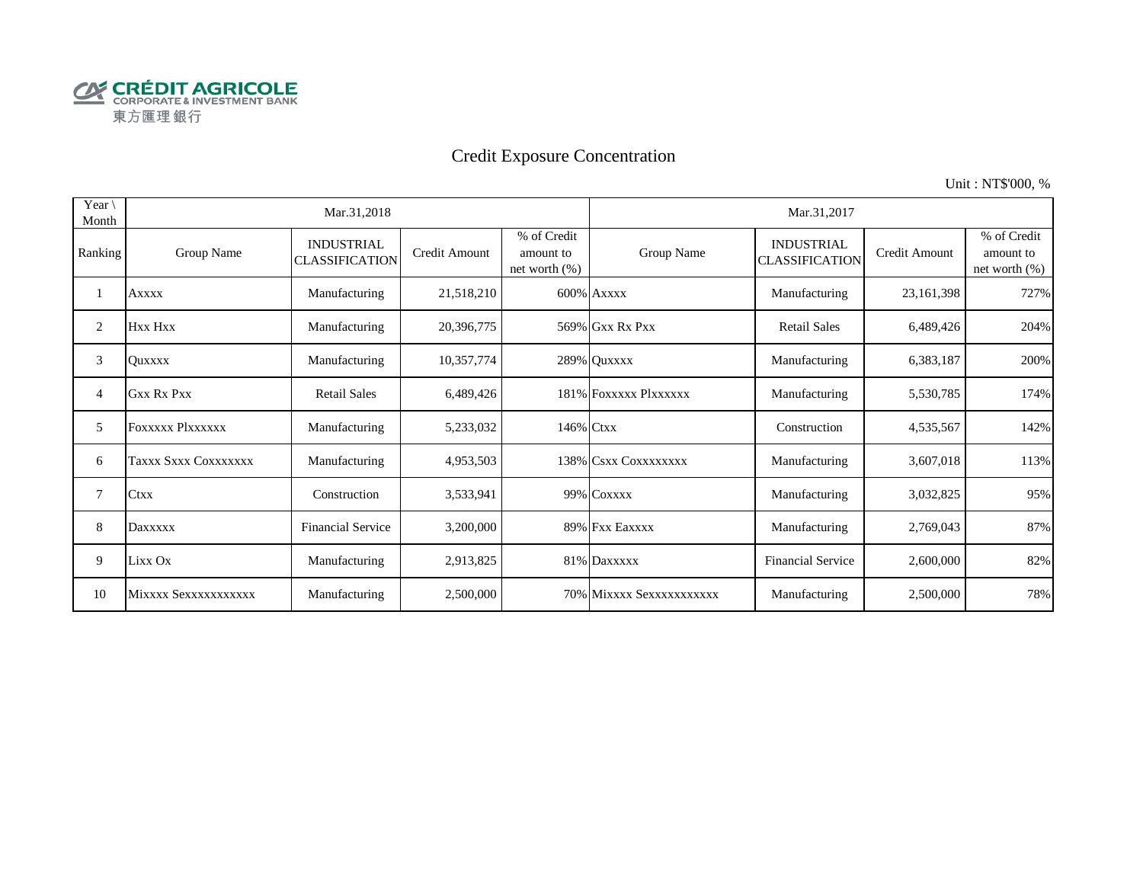

# Credit Exposure Concentration

Unit : NT\$'000, %

| Year $\setminus$<br>Month |                      | Mar.31,2018                                |               |                                               |                          | Mar.31,2017                                |               |                                           |
|---------------------------|----------------------|--------------------------------------------|---------------|-----------------------------------------------|--------------------------|--------------------------------------------|---------------|-------------------------------------------|
| Ranking                   | Group Name           | <b>INDUSTRIAL</b><br><b>CLASSIFICATION</b> | Credit Amount | % of Credit<br>amount to<br>net worth $(\% )$ | Group Name               | <b>INDUSTRIAL</b><br><b>CLASSIFICATION</b> | Credit Amount | % of Credit<br>amount to<br>net worth (%) |
|                           | <b>Axxxx</b>         | Manufacturing                              | 21,518,210    |                                               | 600% Axxxx               | Manufacturing                              | 23,161,398    | 727%                                      |
| 2                         | Hxx Hxx              | Manufacturing                              | 20,396,775    |                                               | 569% Gxx Rx Pxx          | <b>Retail Sales</b>                        | 6,489,426     | 204%                                      |
| 3                         | <b>Ouxxxx</b>        | Manufacturing                              | 10,357,774    |                                               | 289% Quxxxx              | Manufacturing                              | 6,383,187     | 200%                                      |
| 4                         | <b>Gxx Rx Pxx</b>    | <b>Retail Sales</b>                        | 6,489,426     |                                               | 181% FOXXXXX Plxxxxxx    | Manufacturing                              | 5,530,785     | 174%                                      |
| 5                         | FOXXXXX Plxxxxxx     | Manufacturing                              | 5,233,032     | 146% Ctxx                                     |                          | Construction                               | 4,535,567     | 142%                                      |
| 6                         | Taxxx Sxxx Coxxxxxxx | Manufacturing                              | 4,953,503     |                                               | 138% CSXX COXXXXXXX      | Manufacturing                              | 3,607,018     | 113%                                      |
| 7                         | <b>Ctxx</b>          | Construction                               | 3,533,941     |                                               | 99% COXXXX               | Manufacturing                              | 3,032,825     | 95%                                       |
| 8                         | Daxxxxx              | <b>Financial Service</b>                   | 3,200,000     |                                               | 89% Fxx Eaxxxx           | Manufacturing                              | 2,769,043     | 87%                                       |
| 9                         | Lixx Ox              | Manufacturing                              | 2,913,825     |                                               | 81% Daxxxxx              | <b>Financial Service</b>                   | 2,600,000     | 82%                                       |
| 10                        | Mixxxx Sexxxxxxxxxxx | Manufacturing                              | 2,500,000     |                                               | 70% Mixxxx Sexxxxxxxxxxx | Manufacturing                              | 2,500,000     | 78%                                       |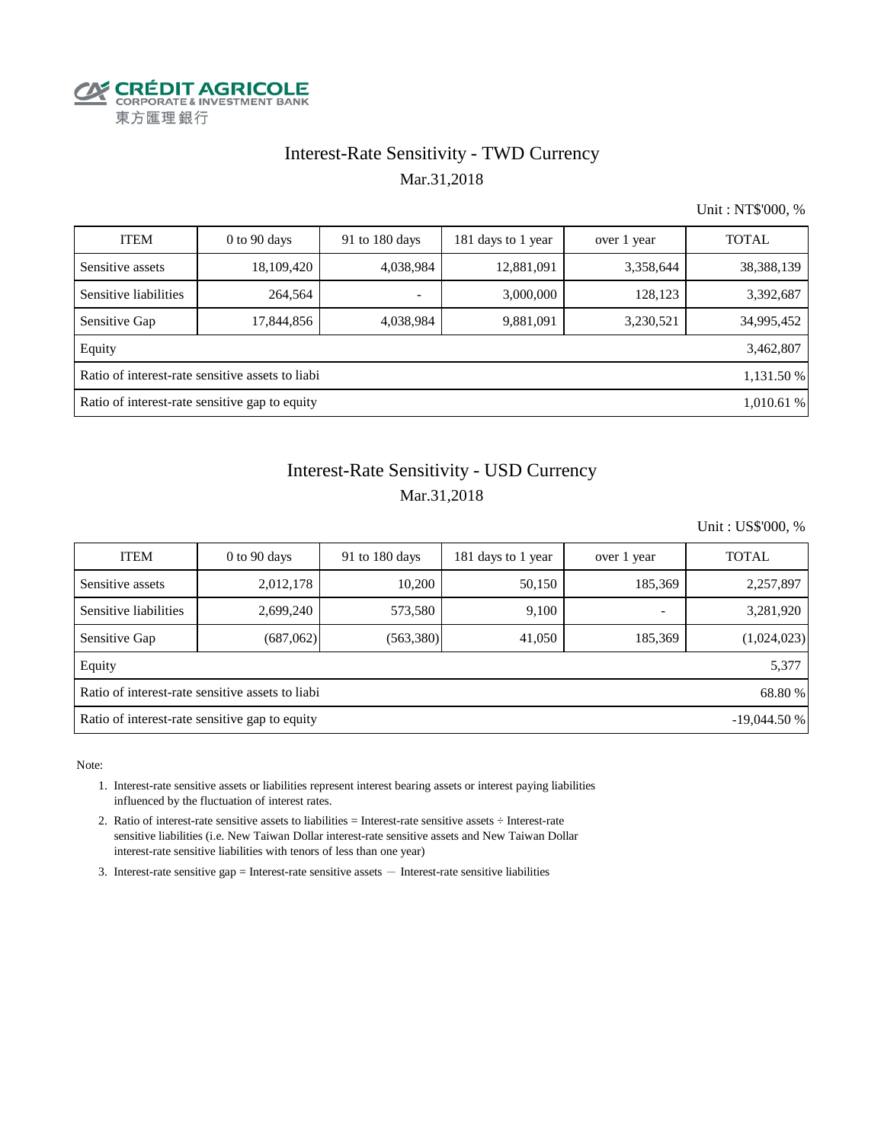

## Interest-Rate Sensitivity - TWD Currency Mar.31,2018

Unit : NT\$'000, %

| <b>ITEM</b>                                                    | $0$ to 90 days | 91 to 180 days | 181 days to 1 year | over 1 year | <b>TOTAL</b> |  |  |  |  |  |
|----------------------------------------------------------------|----------------|----------------|--------------------|-------------|--------------|--|--|--|--|--|
| Sensitive assets                                               | 18,109,420     | 4,038,984      | 12,881,091         | 3,358,644   | 38, 388, 139 |  |  |  |  |  |
| Sensitive liabilities                                          | 264,564        |                | 3,000,000          | 128,123     | 3,392,687    |  |  |  |  |  |
| Sensitive Gap                                                  | 17,844,856     | 4,038,984      | 9,881,091          | 3,230,521   | 34,995,452   |  |  |  |  |  |
| Equity                                                         |                |                |                    |             | 3,462,807    |  |  |  |  |  |
| Ratio of interest-rate sensitive assets to liabi<br>1,131.50 % |                |                |                    |             |              |  |  |  |  |  |
| Ratio of interest-rate sensitive gap to equity<br>1,010.61 %   |                |                |                    |             |              |  |  |  |  |  |

## Mar.31,2018 Interest-Rate Sensitivity - USD Currency

Unit : US\$'000, %

| <b>ITEM</b>                                                     | $0$ to 90 days | 91 to 180 days | 181 days to 1 year | over 1 year              | <b>TOTAL</b> |  |  |  |  |  |
|-----------------------------------------------------------------|----------------|----------------|--------------------|--------------------------|--------------|--|--|--|--|--|
| Sensitive assets                                                | 2,012,178      | 10.200         | 50,150             | 185,369                  | 2,257,897    |  |  |  |  |  |
| Sensitive liabilities                                           | 2,699,240      | 573,580        | 9,100              | $\overline{\phantom{0}}$ | 3,281,920    |  |  |  |  |  |
| Sensitive Gap                                                   | (687,062)      | (563,380)      | 41,050             | 185,369                  | (1,024,023)  |  |  |  |  |  |
| Equity                                                          |                |                |                    |                          | 5,377        |  |  |  |  |  |
| Ratio of interest-rate sensitive assets to liabi<br>68.80 %     |                |                |                    |                          |              |  |  |  |  |  |
| Ratio of interest-rate sensitive gap to equity<br>$-19,044.50%$ |                |                |                    |                          |              |  |  |  |  |  |

Note:

- 1. Interest-rate sensitive assets or liabilities represent interest bearing assets or interest paying liabilities influenced by the fluctuation of interest rates.
- 2. Ratio of interest-rate sensitive assets to liabilities = Interest-rate sensitive assets ÷ Interest-rate sensitive liabilities (i.e. New Taiwan Dollar interest-rate sensitive assets and New Taiwan Dollar interest-rate sensitive liabilities with tenors of less than one year)
- 3. Interest-rate sensitive gap = Interest-rate sensitive assets  $-$  Interest-rate sensitive liabilities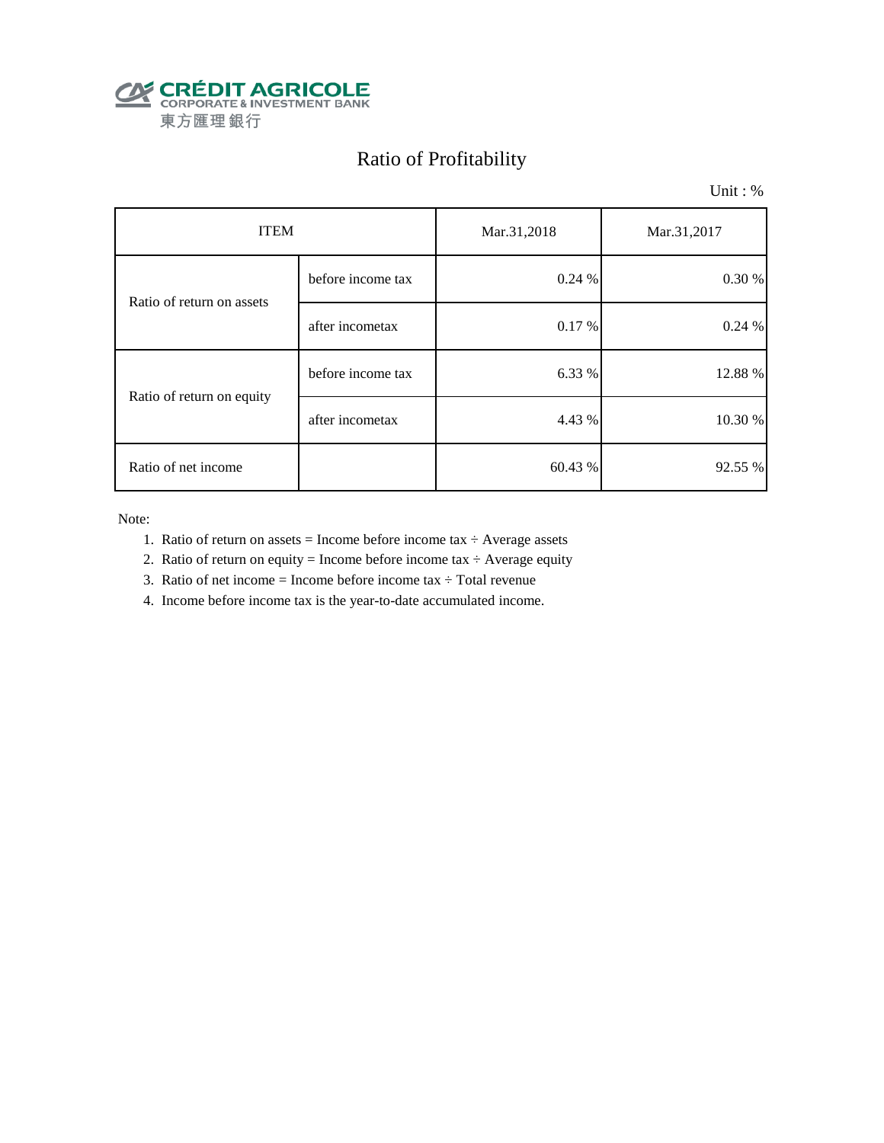

# Ratio of Profitability

Unit : %

| <b>ITEM</b>               |                   | Mar.31,2018 | Mar.31,2017 |  |
|---------------------------|-------------------|-------------|-------------|--|
| Ratio of return on assets | before income tax | 0.24%       | 0.30 %      |  |
|                           | after incometax   | 0.17%       | 0.24%       |  |
|                           | before income tax | 6.33 %      | 12.88 %     |  |
| Ratio of return on equity | after incometax   | 4.43 %      | 10.30 %     |  |
| Ratio of net income       |                   | 60.43 %     | 92.55 %     |  |

Note:

- 1. Ratio of return on assets = Income before income tax  $\div$  Average assets
- 2. Ratio of return on equity = Income before income tax  $\div$  Average equity
- 3. Ratio of net income = Income before income tax  $\div$  Total revenue
- 4. Income before income tax is the year-to-date accumulated income.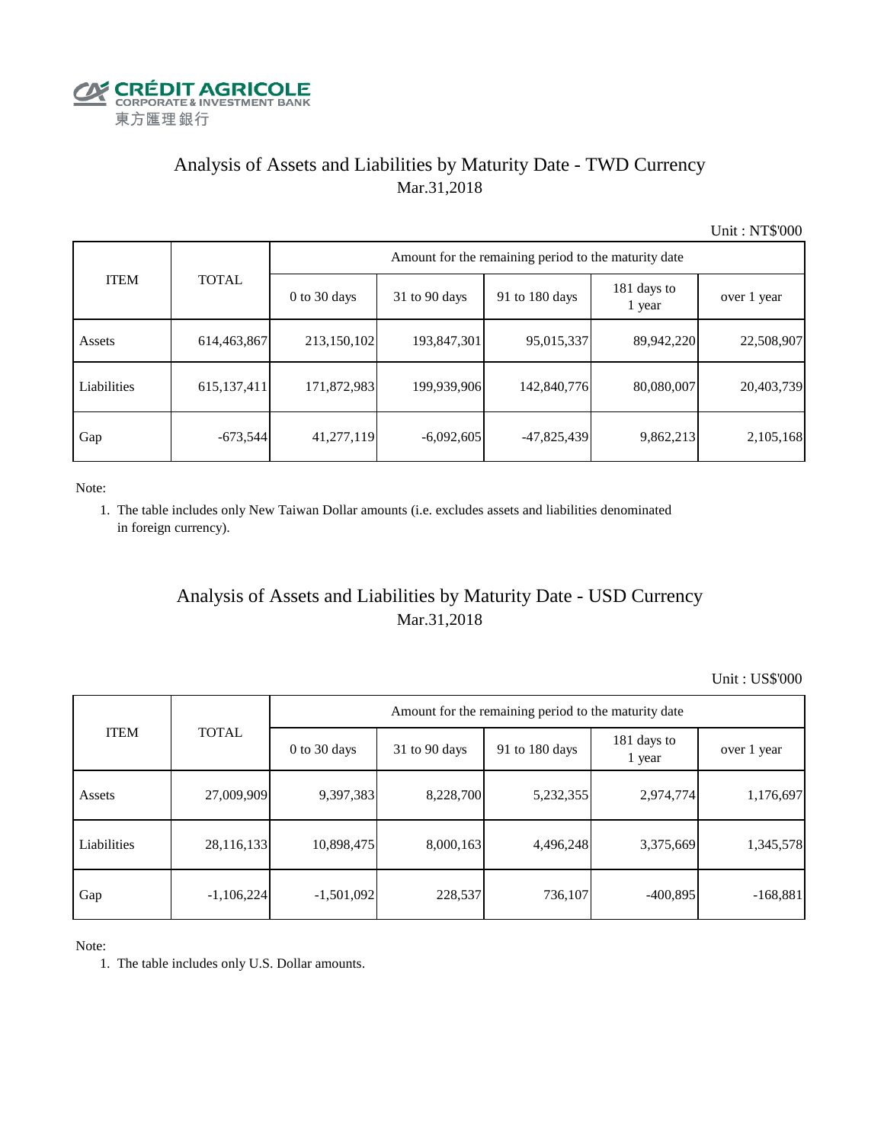

## Analysis of Assets and Liabilities by Maturity Date - TWD Currency Mar.31,2018

Unit : NT\$'000

| <b>ITEM</b> |               | Amount for the remaining period to the maturity date |                 |                |                       |             |  |  |  |  |
|-------------|---------------|------------------------------------------------------|-----------------|----------------|-----------------------|-------------|--|--|--|--|
|             | <b>TOTAL</b>  | $0$ to 30 days                                       | $31$ to 90 days | 91 to 180 days | 181 days to<br>1 year | over 1 year |  |  |  |  |
| Assets      | 614,463,867   | 213,150,102                                          | 193,847,301     | 95,015,337     | 89,942,220            | 22,508,907  |  |  |  |  |
| Liabilities | 615, 137, 411 | 171,872,983                                          | 199,939,906     | 142,840,776    | 80,080,007            | 20,403,739  |  |  |  |  |
| Gap         | $-673,544$    | 41,277,119                                           | $-6,092,605$    | $-47,825,439$  | 9,862,213             | 2,105,168   |  |  |  |  |

Note:

 1. The table includes only New Taiwan Dollar amounts (i.e. excludes assets and liabilities denominated in foreign currency).

## Analysis of Assets and Liabilities by Maturity Date - USD Currency Mar.31,2018

Unit : US\$'000

|             |              | Amount for the remaining period to the maturity date |                 |                |                       |             |  |  |
|-------------|--------------|------------------------------------------------------|-----------------|----------------|-----------------------|-------------|--|--|
| <b>ITEM</b> | <b>TOTAL</b> | $0$ to 30 days                                       | $31$ to 90 days | 91 to 180 days | 181 days to<br>1 year | over 1 year |  |  |
| Assets      | 27,009,909   | 9,397,383                                            | 8,228,700       | 5,232,355      | 2,974,774             | 1,176,697   |  |  |
| Liabilities | 28,116,133   | 10,898,475                                           | 8,000,163       | 4,496,248      | 3,375,669             | 1,345,578   |  |  |
| Gap         | $-1,106,224$ | $-1,501,092$                                         | 228,537         | 736,107        | $-400,895$            | $-168,881$  |  |  |

Note:

1. The table includes only U.S. Dollar amounts.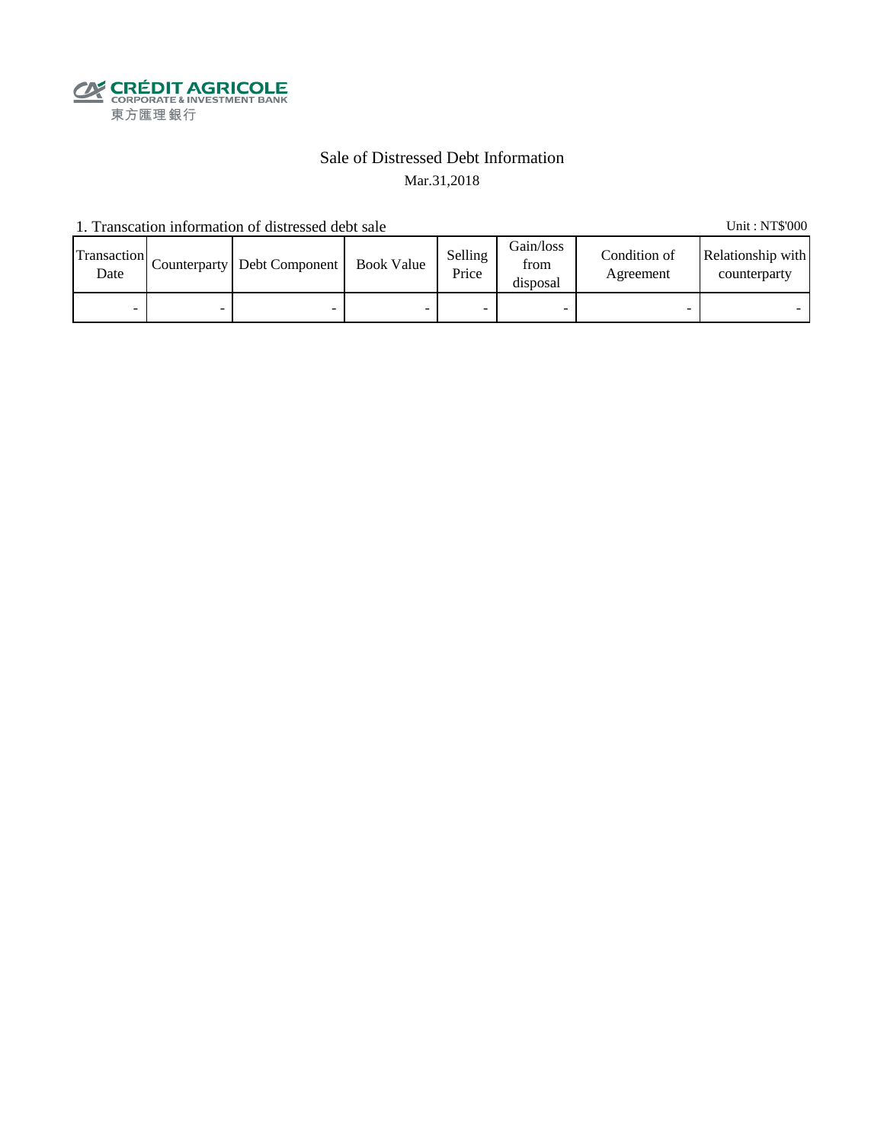

## Sale of Distressed Debt Information Mar.31,2018

1. Transcation information of distressed debt sale Unit: NT\$'000

| Transaction<br>Date | Counterparty   Debt Component | <b>Book Value</b> | Selling<br>Price | Gain/loss<br>from<br>disposal | Condition of<br>Agreement | Relationship with<br>counterparty |
|---------------------|-------------------------------|-------------------|------------------|-------------------------------|---------------------------|-----------------------------------|
| -                   |                               |                   |                  |                               |                           |                                   |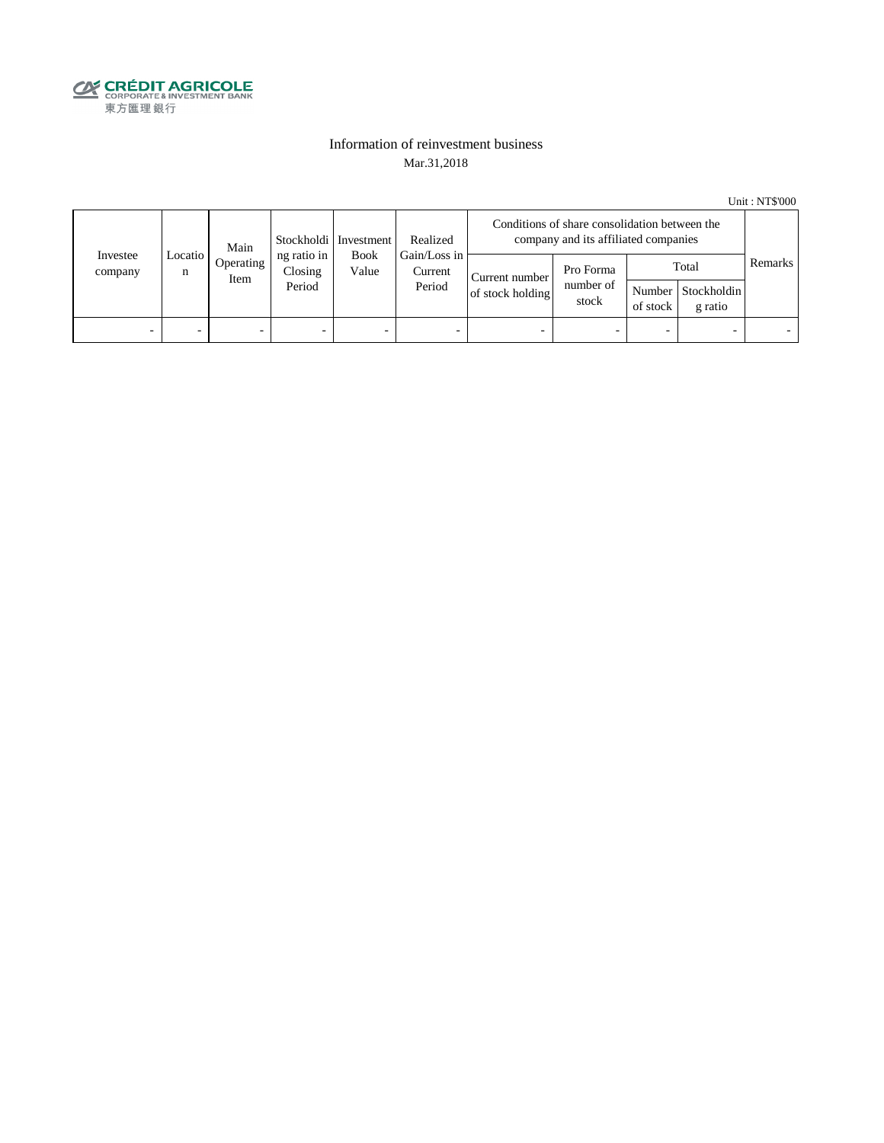

### Information of reinvestment business Mar.31,2018

Unit : NT\$'000

| Investee<br>company | Main         |                   | Stockholdi   Investment          |               | Realized<br>Gain/Loss in | Conditions of share consolidation between the<br>company and its affiliated companies |                                 |                          |                                        |         |
|---------------------|--------------|-------------------|----------------------------------|---------------|--------------------------|---------------------------------------------------------------------------------------|---------------------------------|--------------------------|----------------------------------------|---------|
|                     | Locatio<br>n | Operating<br>Item | ng ratio in<br>Closing<br>Period | Book<br>Value | Current<br>Period        | Current number<br>of stock holding                                                    | Pro Forma<br>number of<br>stock | of stock                 | Total<br>Number Stockholdin<br>g ratio | Remarks |
| -                   |              | -                 | $\overline{\phantom{0}}$         | -             | $\overline{\phantom{a}}$ | -                                                                                     |                                 | $\overline{\phantom{0}}$ |                                        |         |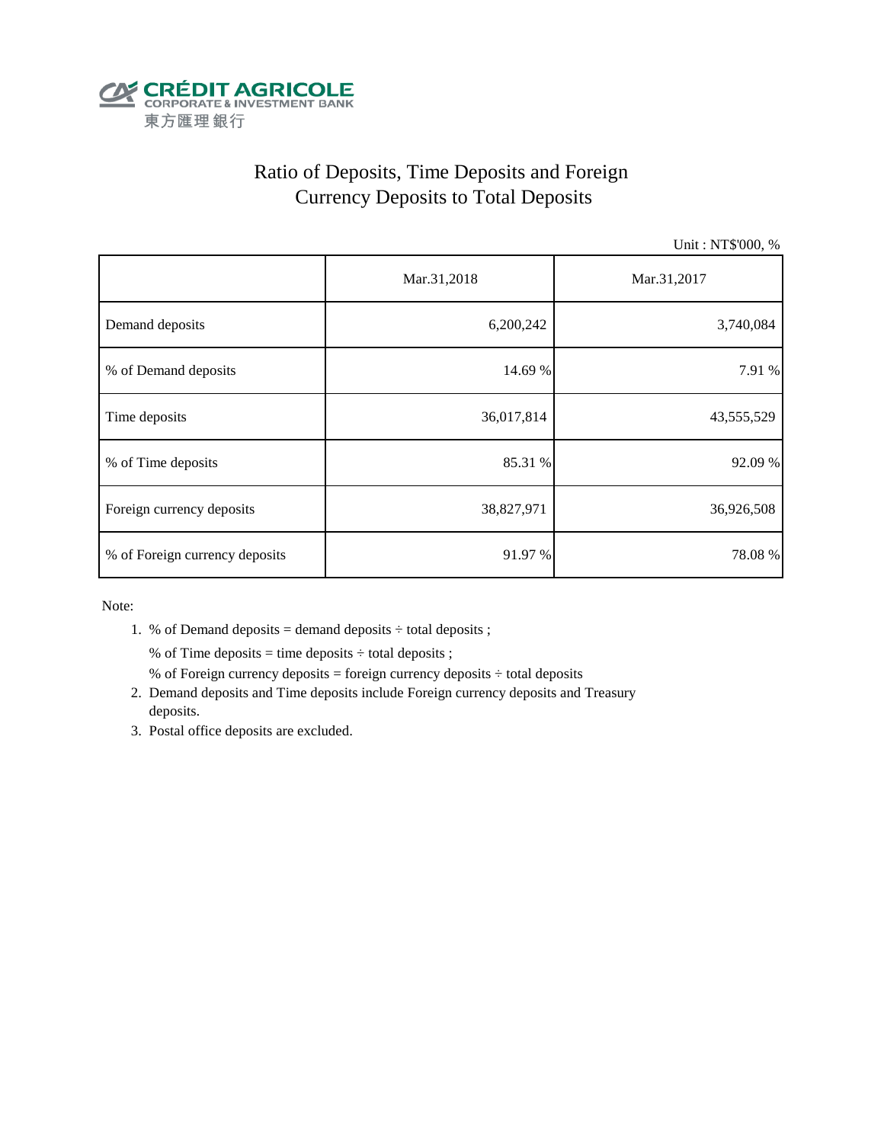

# Ratio of Deposits, Time Deposits and Foreign Currency Deposits to Total Deposits

Unit : NT\$'000, %

|                                | Mar.31,2018 | Mar.31,2017 |  |  |
|--------------------------------|-------------|-------------|--|--|
| Demand deposits                | 6,200,242   | 3,740,084   |  |  |
| % of Demand deposits           | 14.69 %     | 7.91 %      |  |  |
| Time deposits                  | 36,017,814  | 43,555,529  |  |  |
| % of Time deposits             | 85.31 %     | 92.09 %     |  |  |
| Foreign currency deposits      | 38,827,971  | 36,926,508  |  |  |
| % of Foreign currency deposits | 91.97 %     | 78.08%      |  |  |

Note:

1. % of Demand deposits = demand deposits  $\div$  total deposits ;

% of Time deposits = time deposits  $\div$  total deposits ;

- % of Foreign currency deposits = foreign currency deposits  $\div$  total deposits
- 2. Demand deposits and Time deposits include Foreign currency deposits and Treasury deposits.
- 3. Postal office deposits are excluded.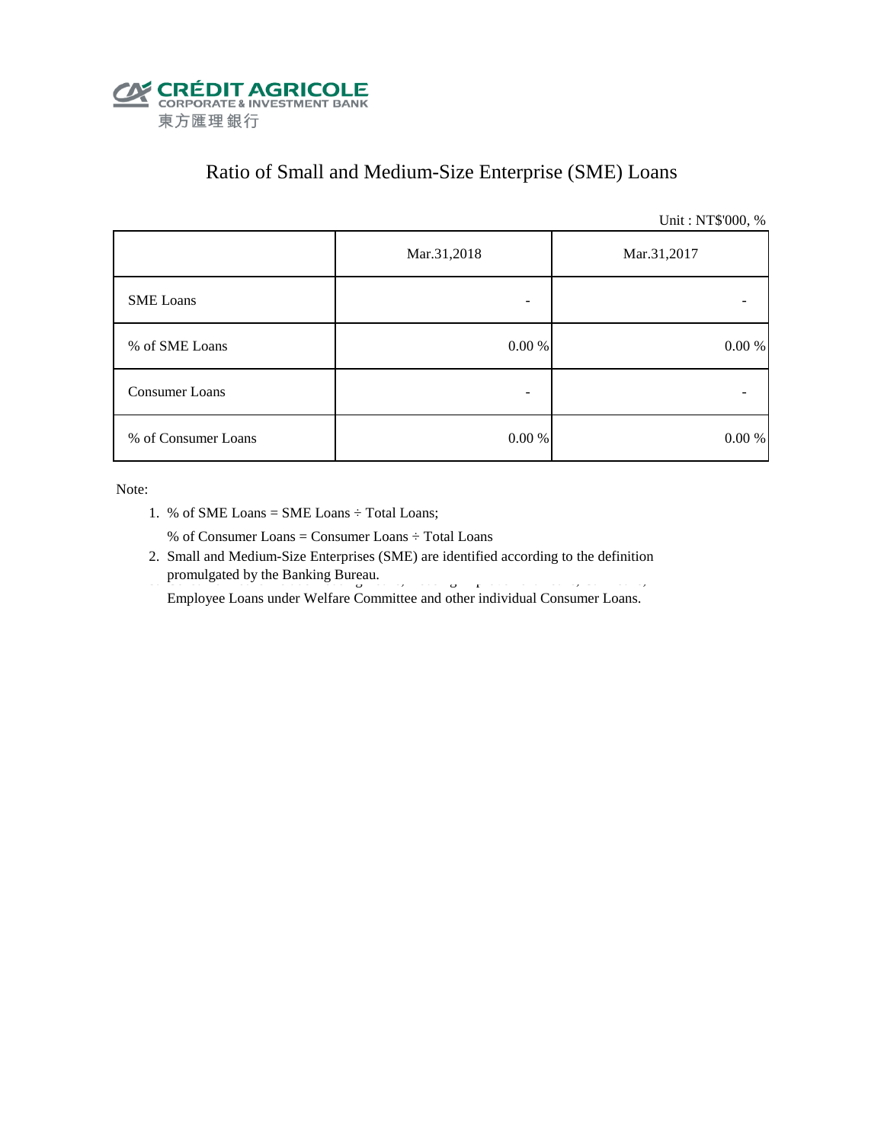

# Ratio of Small and Medium-Size Enterprise (SME) Loans

Unit : NT\$'000, %

|                     | Mar.31,2018<br>Mar.31,2017 |            |  |
|---------------------|----------------------------|------------|--|
| <b>SME</b> Loans    |                            |            |  |
| % of SME Loans      | $0.00~\%$                  | $0.00\ \%$ |  |
| Consumer Loans      | -                          |            |  |
| % of Consumer Loans | $0.00\ \%$                 | 0.00 %     |  |

Note:

1. % of SME Loans = SME Loans ÷ Total Loans;

% of Consumer Loans = Consumer Loans ÷ Total Loans

 2. Small and Medium-Size Enterprises (SME) are identified according to the definition promulgated by the Banking Bureau.

Employee Loans under Welfare Committee and other individual Consumer Loans.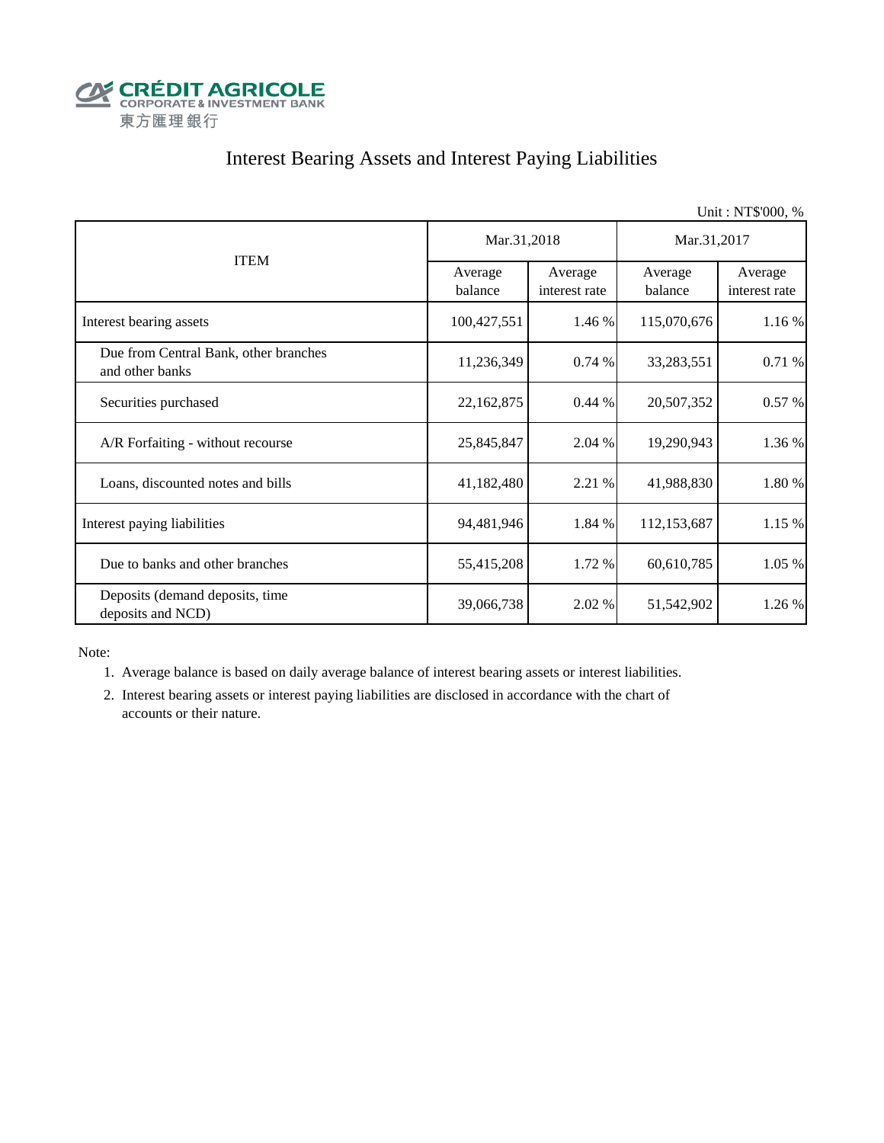

## Interest Bearing Assets and Interest Paying Liabilities

|                                                          |                    |                          |                    | Unit: NT\$'000, %        |  |
|----------------------------------------------------------|--------------------|--------------------------|--------------------|--------------------------|--|
|                                                          | Mar.31,2018        |                          | Mar.31,2017        |                          |  |
| <b>ITEM</b>                                              | Average<br>balance | Average<br>interest rate | Average<br>balance | Average<br>interest rate |  |
| Interest bearing assets                                  | 100,427,551        | 1.46 %                   | 115,070,676        | 1.16 %                   |  |
| Due from Central Bank, other branches<br>and other banks | 11,236,349         | 0.74%                    | 33,283,551         | 0.71 %                   |  |
| Securities purchased                                     | 22,162,875         | 0.44%                    | 20,507,352         | 0.57 %                   |  |
| A/R Forfaiting - without recourse                        | 25,845,847         | 2.04 %                   | 19,290,943         | 1.36 %                   |  |
| Loans, discounted notes and bills                        | 41,182,480         | 2.21 %                   | 41,988,830         | 1.80 %                   |  |
| Interest paying liabilities                              | 94,481,946         | 1.84 %                   | 112,153,687        | 1.15 %                   |  |
| Due to banks and other branches                          | 55,415,208         | 1.72 %                   | 60,610,785         | 1.05 %                   |  |
| Deposits (demand deposits, time<br>deposits and NCD)     | 39,066,738         | 2.02 %                   | 51,542,902         | 1.26 %                   |  |

Note:

1. Average balance is based on daily average balance of interest bearing assets or interest liabilities.

 2. Interest bearing assets or interest paying liabilities are disclosed in accordance with the chart of accounts or their nature.